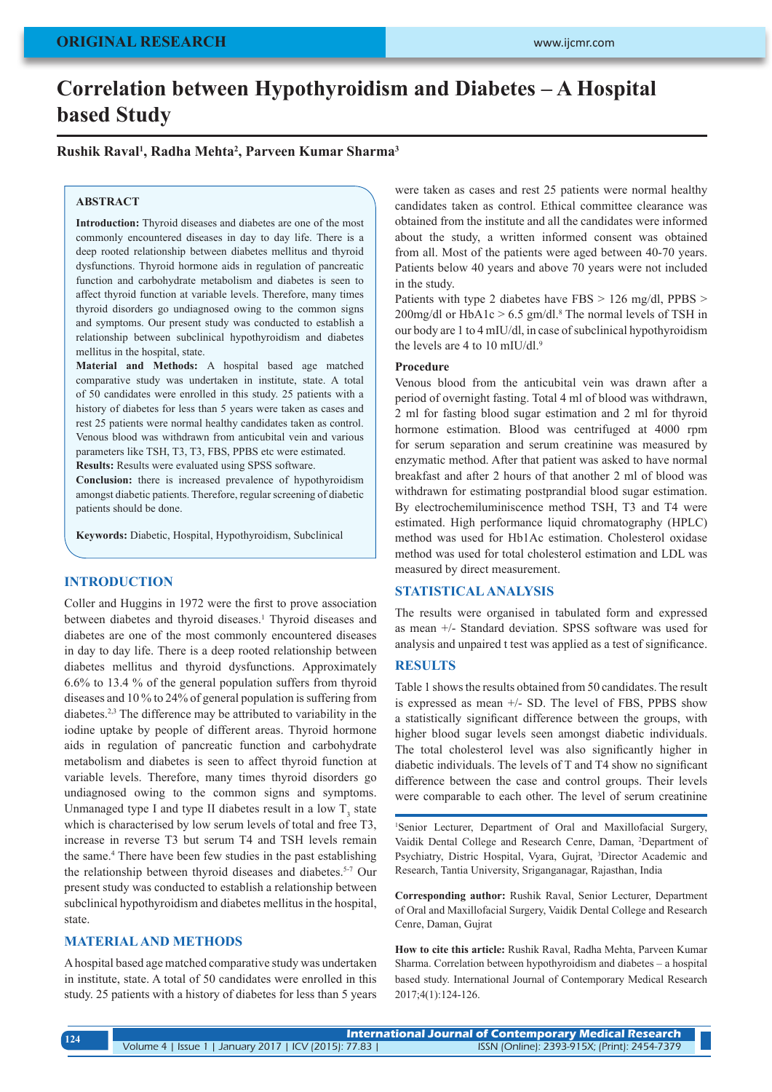# **Correlation between Hypothyroidism and Diabetes – A Hospital based Study**

## **Rushik Raval1 , Radha Mehta2 , Parveen Kumar Sharma3**

#### **ABSTRACT**

**Introduction:** Thyroid diseases and diabetes are one of the most commonly encountered diseases in day to day life. There is a deep rooted relationship between diabetes mellitus and thyroid dysfunctions. Thyroid hormone aids in regulation of pancreatic function and carbohydrate metabolism and diabetes is seen to affect thyroid function at variable levels. Therefore, many times thyroid disorders go undiagnosed owing to the common signs and symptoms. Our present study was conducted to establish a relationship between subclinical hypothyroidism and diabetes mellitus in the hospital, state.

**Material and Methods:** A hospital based age matched comparative study was undertaken in institute, state. A total of 50 candidates were enrolled in this study. 25 patients with a history of diabetes for less than 5 years were taken as cases and rest 25 patients were normal healthy candidates taken as control. Venous blood was withdrawn from anticubital vein and various parameters like TSH, T3, T3, FBS, PPBS etc were estimated.

**Results:** Results were evaluated using SPSS software.

**Conclusion:** there is increased prevalence of hypothyroidism amongst diabetic patients. Therefore, regular screening of diabetic patients should be done.

**Keywords:** Diabetic, Hospital, Hypothyroidism, Subclinical

## **INTRODUCTION**

Coller and Huggins in 1972 were the first to prove association between diabetes and thyroid diseases.<sup>1</sup> Thyroid diseases and diabetes are one of the most commonly encountered diseases in day to day life. There is a deep rooted relationship between diabetes mellitus and thyroid dysfunctions. Approximately 6.6% to 13.4 % of the general population suffers from thyroid diseases and 10 % to 24% of general population is suffering from diabetes.2,3 The difference may be attributed to variability in the iodine uptake by people of different areas. Thyroid hormone aids in regulation of pancreatic function and carbohydrate metabolism and diabetes is seen to affect thyroid function at variable levels. Therefore, many times thyroid disorders go undiagnosed owing to the common signs and symptoms. Unmanaged type I and type II diabetes result in a low  $T_3$  state which is characterised by low serum levels of total and free T3, increase in reverse T3 but serum T4 and TSH levels remain the same.4 There have been few studies in the past establishing the relationship between thyroid diseases and diabetes.<sup>5-7</sup> Our present study was conducted to establish a relationship between subclinical hypothyroidism and diabetes mellitus in the hospital, state.

## **MATERIAL AND METHODS**

**124**

A hospital based age matched comparative study was undertaken in institute, state. A total of 50 candidates were enrolled in this study. 25 patients with a history of diabetes for less than 5 years were taken as cases and rest 25 patients were normal healthy candidates taken as control. Ethical committee clearance was obtained from the institute and all the candidates were informed about the study, a written informed consent was obtained from all. Most of the patients were aged between 40-70 years. Patients below 40 years and above 70 years were not included in the study.

Patients with type 2 diabetes have FBS > 126 mg/dl, PPBS >  $200$ mg/dl or HbA1c > 6.5 gm/dl.<sup>8</sup> The normal levels of TSH in our body are 1 to 4 mIU/dl, in case of subclinical hypothyroidism the levels are 4 to 10 mIU/dl.<sup>9</sup>

### **Procedure**

Venous blood from the anticubital vein was drawn after a period of overnight fasting. Total 4 ml of blood was withdrawn, 2 ml for fasting blood sugar estimation and 2 ml for thyroid hormone estimation. Blood was centrifuged at 4000 rpm for serum separation and serum creatinine was measured by enzymatic method. After that patient was asked to have normal breakfast and after 2 hours of that another 2 ml of blood was withdrawn for estimating postprandial blood sugar estimation. By electrochemiluminiscence method TSH, T3 and T4 were estimated. High performance liquid chromatography (HPLC) method was used for Hb1Ac estimation. Cholesterol oxidase method was used for total cholesterol estimation and LDL was measured by direct measurement.

## **STATISTICAL ANALYSIS**

The results were organised in tabulated form and expressed as mean +/- Standard deviation. SPSS software was used for analysis and unpaired t test was applied as a test of significance.

## **RESULTS**

Table 1 shows the results obtained from 50 candidates. The result is expressed as mean +/- SD. The level of FBS, PPBS show a statistically significant difference between the groups, with higher blood sugar levels seen amongst diabetic individuals. The total cholesterol level was also significantly higher in diabetic individuals. The levels of T and T4 show no significant difference between the case and control groups. Their levels were comparable to each other. The level of serum creatinine

1 Senior Lecturer, Department of Oral and Maxillofacial Surgery, Vaidik Dental College and Research Cenre, Daman, 2 Department of Psychiatry, Distric Hospital, Vyara, Gujrat, 3 Director Academic and Research, Tantia University, Sriganganagar, Rajasthan, India

**Corresponding author:** Rushik Raval, Senior Lecturer, Department of Oral and Maxillofacial Surgery, Vaidik Dental College and Research Cenre, Daman, Gujrat

**How to cite this article:** Rushik Raval, Radha Mehta, Parveen Kumar Sharma. Correlation between hypothyroidism and diabetes – a hospital based study. International Journal of Contemporary Medical Research 2017;4(1):124-126.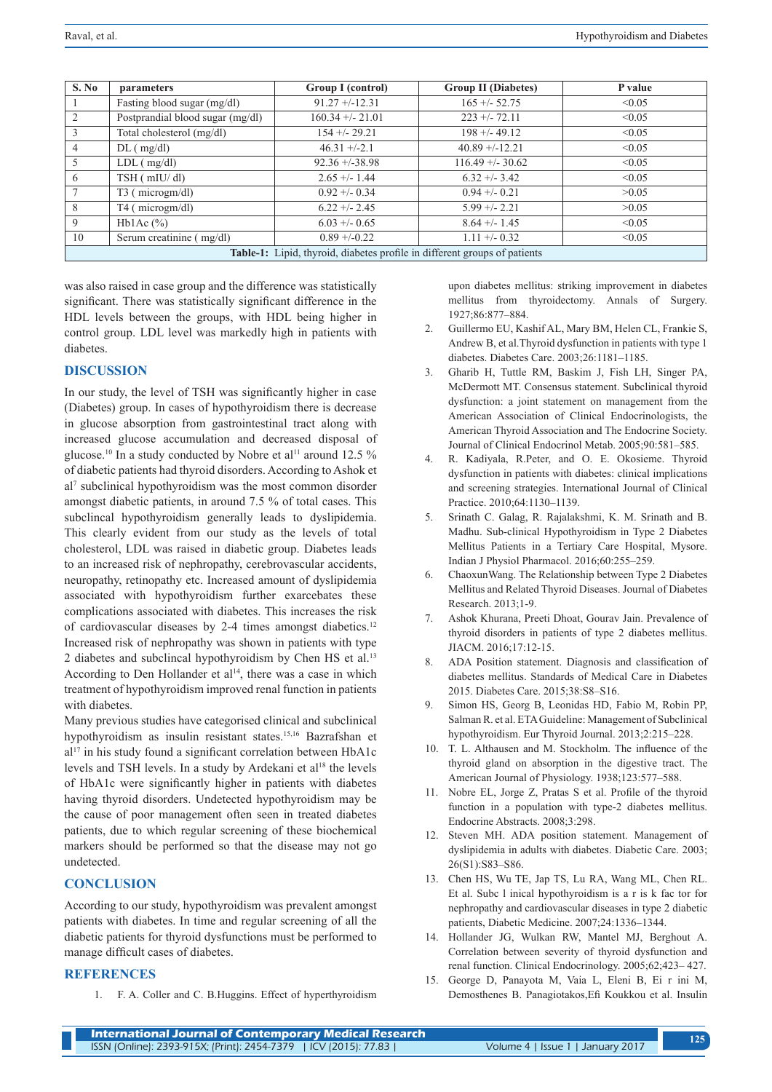| S. No                                                                     | parameters                       | Group I (control)  | <b>Group II (Diabetes)</b> | P value |
|---------------------------------------------------------------------------|----------------------------------|--------------------|----------------------------|---------|
|                                                                           | Fasting blood sugar (mg/dl)      | $91.27 + -12.31$   | $165 + (-52.75)$           | < 0.05  |
|                                                                           | Postprandial blood sugar (mg/dl) | $160.34 + - 21.01$ | $223 + 72.11$              | < 0.05  |
| $\mathcal{R}$                                                             | Total cholesterol (mg/dl)        | $154 + - 29.21$    | $198 + (-49.12)$           | < 0.05  |
| 4                                                                         | $DL$ ( mg/dl)                    | $46.31 + (-2.1)$   | $40.89 + -12.21$           | < 0.05  |
| 5                                                                         | $LDL$ ( $mg/dl$ )                | $92.36 + -38.98$   | $116.49 + - 30.62$         | < 0.05  |
| 6                                                                         | $TSH$ ( $mIU/dI$ )               | $2.65 + - 1.44$    | $6.32 + -3.42$             | < 0.05  |
|                                                                           | T <sub>3</sub> (microgm/dl)      | $0.92 + - 0.34$    | $0.94 + -0.21$             | >0.05   |
| 8                                                                         | T4 (microgm/dl)                  | $6.22 + 2.45$      | $5.99 + - 2.21$            | >0.05   |
| 9                                                                         | Hb1Ac $(\% )$                    | $6.03 + - 0.65$    | $8.64 + - 1.45$            | < 0.05  |
| 10                                                                        | Serum creatinine (mg/dl)         | $0.89 + -0.22$     | $1.11 + -0.32$             | < 0.05  |
| Table-1: Lipid, thyroid, diabetes profile in different groups of patients |                                  |                    |                            |         |

was also raised in case group and the difference was statistically significant. There was statistically significant difference in the HDL levels between the groups, with HDL being higher in control group. LDL level was markedly high in patients with diabetes.

# **DISCUSSION**

In our study, the level of TSH was significantly higher in case (Diabetes) group. In cases of hypothyroidism there is decrease in glucose absorption from gastrointestinal tract along with increased glucose accumulation and decreased disposal of glucose.<sup>10</sup> In a study conducted by Nobre et al<sup>11</sup> around 12.5  $\%$ of diabetic patients had thyroid disorders. According to Ashok et al7 subclinical hypothyroidism was the most common disorder amongst diabetic patients, in around 7.5 % of total cases. This subclincal hypothyroidism generally leads to dyslipidemia. This clearly evident from our study as the levels of total cholesterol, LDL was raised in diabetic group. Diabetes leads to an increased risk of nephropathy, cerebrovascular accidents, neuropathy, retinopathy etc. Increased amount of dyslipidemia associated with hypothyroidism further exarcebates these complications associated with diabetes. This increases the risk of cardiovascular diseases by 2-4 times amongst diabetics.<sup>12</sup> Increased risk of nephropathy was shown in patients with type 2 diabetes and subclincal hypothyroidism by Chen HS et al.13 According to Den Hollander et al<sup>14</sup>, there was a case in which treatment of hypothyroidism improved renal function in patients with diabetes.

Many previous studies have categorised clinical and subclinical hypothyroidism as insulin resistant states.15,16 Bazrafshan et al<sup>17</sup> in his study found a significant correlation between HbA1c levels and TSH levels. In a study by Ardekani et al<sup>18</sup> the levels of HbA1c were significantly higher in patients with diabetes having thyroid disorders. Undetected hypothyroidism may be the cause of poor management often seen in treated diabetes patients, due to which regular screening of these biochemical markers should be performed so that the disease may not go undetected.

### **CONCLUSION**

According to our study, hypothyroidism was prevalent amongst patients with diabetes. In time and regular screening of all the diabetic patients for thyroid dysfunctions must be performed to manage difficult cases of diabetes.

#### **REFERENCES**

1. F. A. Coller and C. B.Huggins. Effect of hyperthyroidism

upon diabetes mellitus: striking improvement in diabetes mellitus from thyroidectomy. Annals of Surgery. 1927;86:877–884.

- 2. Guillermo EU, Kashif AL, Mary BM, Helen CL, Frankie S, Andrew B, et al.Thyroid dysfunction in patients with type 1 diabetes. Diabetes Care. 2003;26:1181–1185.
- 3. Gharib H, Tuttle RM, Baskim J, Fish LH, Singer PA, McDermott MT. Consensus statement. Subclinical thyroid dysfunction: a joint statement on management from the American Association of Clinical Endocrinologists, the American Thyroid Association and The Endocrine Society. Journal of Clinical Endocrinol Metab. 2005;90:581–585.
- 4. R. Kadiyala, R.Peter, and O. E. Okosieme. Thyroid dysfunction in patients with diabetes: clinical implications and screening strategies. International Journal of Clinical Practice. 2010;64:1130–1139.
- 5. Srinath C. Galag, R. Rajalakshmi, K. M. Srinath and B. Madhu. Sub-clinical Hypothyroidism in Type 2 Diabetes Mellitus Patients in a Tertiary Care Hospital, Mysore. Indian J Physiol Pharmacol. 2016;60:255–259.
- 6. ChaoxunWang. The Relationship between Type 2 Diabetes Mellitus and Related Thyroid Diseases. Journal of Diabetes Research. 2013;1-9.
- 7. Ashok Khurana, Preeti Dhoat, Gourav Jain. Prevalence of thyroid disorders in patients of type 2 diabetes mellitus. JIACM. 2016;17:12-15.
- 8. ADA Position statement. Diagnosis and classification of diabetes mellitus. Standards of Medical Care in Diabetes 2015. Diabetes Care. 2015;38:S8–S16.
- 9. Simon HS, Georg B, Leonidas HD, Fabio M, Robin PP, Salman R. et al. ETA Guideline: Management of Subclinical hypothyroidism. Eur Thyroid Journal. 2013;2:215–228.
- 10. T. L. Althausen and M. Stockholm. The influence of the thyroid gland on absorption in the digestive tract. The American Journal of Physiology. 1938;123:577–588.
- 11. Nobre EL, Jorge Z, Pratas S et al. Profile of the thyroid function in a population with type-2 diabetes mellitus. Endocrine Abstracts. 2008;3:298.
- 12. Steven MH. ADA position statement. Management of dyslipidemia in adults with diabetes. Diabetic Care. 2003; 26(S1):S83–S86.
- 13. Chen HS, Wu TE, Jap TS, Lu RA, Wang ML, Chen RL. Et al. Subc l inical hypothyroidism is a r is k fac tor for nephropathy and cardiovascular diseases in type 2 diabetic patients, Diabetic Medicine. 2007;24:1336–1344.
- 14. Hollander JG, Wulkan RW, Mantel MJ, Berghout A. Correlation between severity of thyroid dysfunction and renal function. Clinical Endocrinology. 2005;62;423– 427.
- 15. George D, Panayota M, Vaia L, Eleni B, Ei r ini M, Demosthenes B. Panagiotakos,Efi Koukkou et al. Insulin